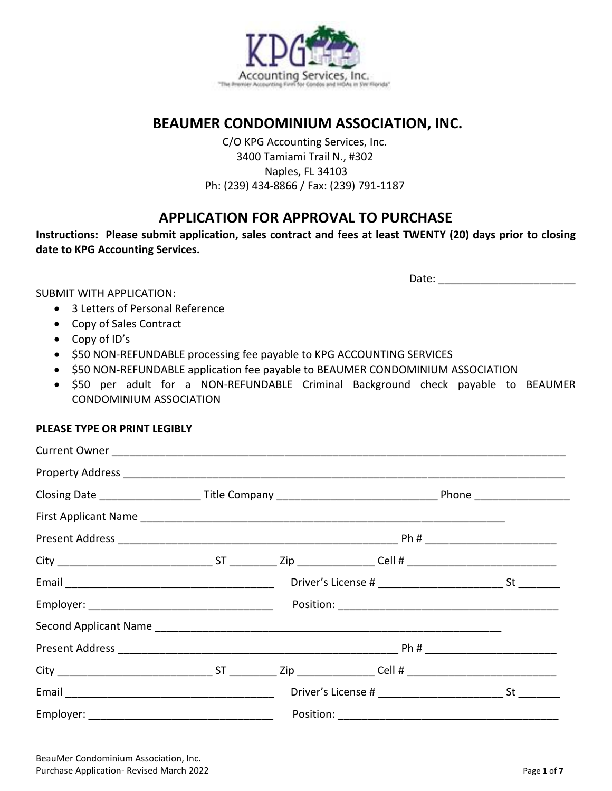

### **BEAUMER CONDOMINIUM ASSOCIATION, INC.**

C/O KPG Accounting Services, Inc. 3400 Tamiami Trail N., #302 Naples, FL 34103 Ph: (239) 434-8866 / Fax: (239) 791-1187

### **APPLICATION FOR APPROVAL TO PURCHASE**

**Instructions: Please submit application, sales contract and fees at least TWENTY (20) days prior to closing date to KPG Accounting Services.**

Date:  $\Box$ 

SUBMIT WITH APPLICATION:

- 3 Letters of Personal Reference
- Copy of Sales Contract
- Copy of ID's
- \$50 NON-REFUNDABLE processing fee payable to KPG ACCOUNTING SERVICES
- \$50 NON-REFUNDABLE application fee payable to BEAUMER CONDOMINIUM ASSOCIATION
- \$50 per adult for a NON-REFUNDABLE Criminal Background check payable to BEAUMER CONDOMINIUM ASSOCIATION

#### **PLEASE TYPE OR PRINT LEGIBLY**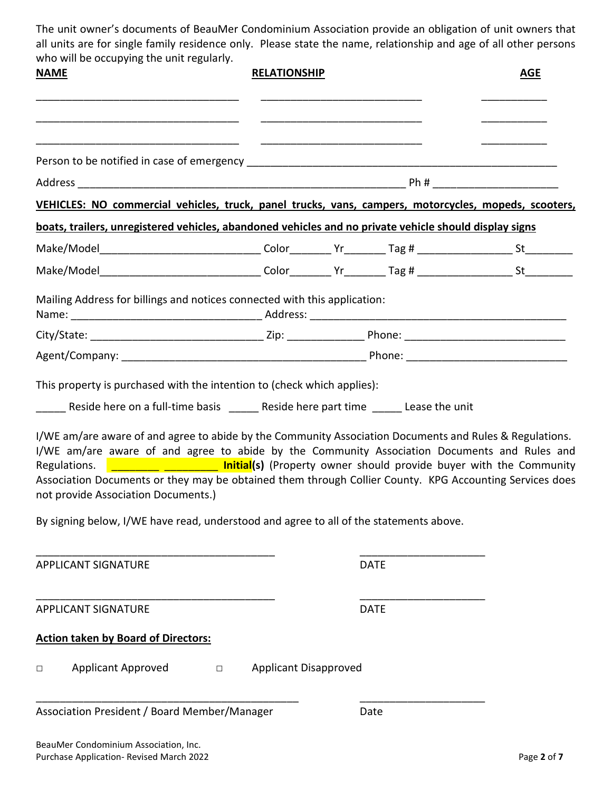The unit owner's documents of BeauMer Condominium Association provide an obligation of unit owners that all units are for single family residence only. Please state the name, relationship and age of all other persons who will be occupying the unit regularly.

| <b>NAME</b>                                                                                                                                                                                                                                                                                                                                              | <b>RELATIONSHIP</b>                    |             | <b>AGE</b>                                                                                    |
|----------------------------------------------------------------------------------------------------------------------------------------------------------------------------------------------------------------------------------------------------------------------------------------------------------------------------------------------------------|----------------------------------------|-------------|-----------------------------------------------------------------------------------------------|
|                                                                                                                                                                                                                                                                                                                                                          |                                        |             |                                                                                               |
|                                                                                                                                                                                                                                                                                                                                                          |                                        |             |                                                                                               |
|                                                                                                                                                                                                                                                                                                                                                          |                                        |             |                                                                                               |
| VEHICLES: NO commercial vehicles, truck, panel trucks, vans, campers, motorcycles, mopeds, scooters,                                                                                                                                                                                                                                                     |                                        |             |                                                                                               |
| boats, trailers, unregistered vehicles, abandoned vehicles and no private vehicle should display signs                                                                                                                                                                                                                                                   |                                        |             |                                                                                               |
| Make/Model________________________________Color_________Yr________Tag # ____________________St____________                                                                                                                                                                                                                                               |                                        |             |                                                                                               |
| Make/Model_______________________________Color_________Yr________Tag # ___________________St_____________                                                                                                                                                                                                                                                |                                        |             |                                                                                               |
| Mailing Address for billings and notices connected with this application:                                                                                                                                                                                                                                                                                |                                        |             |                                                                                               |
|                                                                                                                                                                                                                                                                                                                                                          |                                        |             |                                                                                               |
|                                                                                                                                                                                                                                                                                                                                                          |                                        |             |                                                                                               |
| I/WE am/are aware of and agree to abide by the Community Association Documents and Rules and<br>Regulations.<br>Association Documents or they may be obtained them through Collier County. KPG Accounting Services does<br>not provide Association Documents.)<br>By signing below, I/WE have read, understood and agree to all of the statements above. |                                        |             | <b>EVALUATE: EVALUATE:</b> Initial(s) (Property owner should provide buyer with the Community |
| <b>APPLICANT SIGNATURE</b>                                                                                                                                                                                                                                                                                                                               |                                        | <b>DATE</b> |                                                                                               |
| <b>APPLICANT SIGNATURE</b>                                                                                                                                                                                                                                                                                                                               |                                        | <b>DATE</b> |                                                                                               |
| <b>Action taken by Board of Directors:</b>                                                                                                                                                                                                                                                                                                               |                                        |             |                                                                                               |
| <b>Applicant Approved</b><br>$\Box$                                                                                                                                                                                                                                                                                                                      | <b>Applicant Disapproved</b><br>$\Box$ |             |                                                                                               |
| Association President / Board Member/Manager                                                                                                                                                                                                                                                                                                             |                                        | Date        |                                                                                               |
| BeauMer Condominium Association, Inc.<br>Purchase Application- Revised March 2022                                                                                                                                                                                                                                                                        |                                        |             | Page 2 of 7                                                                                   |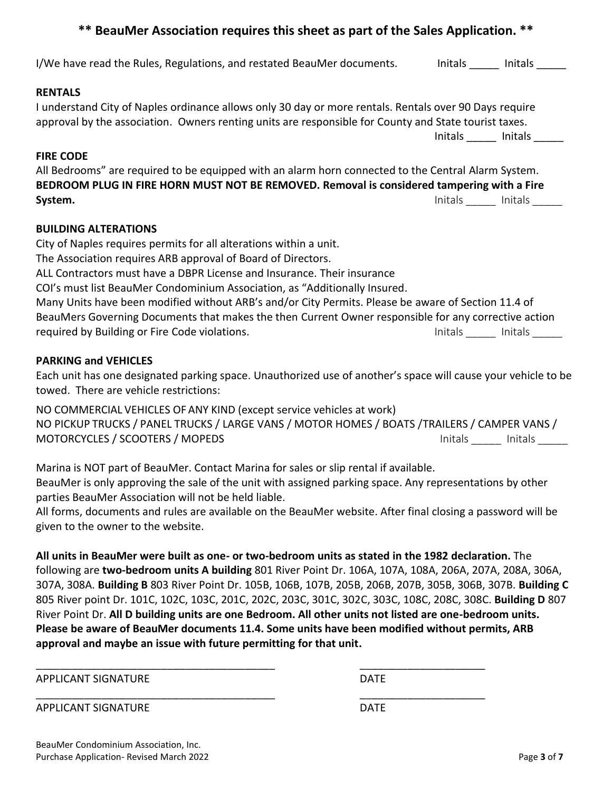#### **\*\* BeauMer Association requires this sheet as part of the Sales Application. \*\***

# I/We have read the Rules, Regulations, and restated BeauMer documents. Thitals \_\_\_\_\_\_ Initals \_\_\_\_\_ **RENTALS** I understand City of Naples ordinance allows only 30 day or more rentals. Rentals over 90 Days require approval by the association. Owners renting units are responsible for County and State tourist taxes. Initals \_\_\_\_\_\_ Initals \_\_\_\_\_\_\_ **FIRE CODE** All Bedrooms" are required to be equipped with an alarm horn connected to the Central Alarm System. **BEDROOM PLUG IN FIRE HORN MUST NOT BE REMOVED. Removal is considered tampering with a Fire System.** Initals \_\_\_\_\_ Initals \_\_\_\_\_ **BUILDING ALTERATIONS** City of Naples requires permits for all alterations within a unit.

The Association requires ARB approval of Board of Directors. ALL Contractors must have a DBPR License and Insurance. Their insurance COI's must list BeauMer Condominium Association, as "Additionally Insured. Many Units have been modified without ARB's and/or City Permits. Please be aware of Section 11.4 of BeauMers Governing Documents that makes the then Current Owner responsible for any corrective action required by Building or Fire Code violations. The Contract of Contract Contract Contract Contract Contract Cont

#### **PARKING and VEHICLES**

Each unit has one designated parking space. Unauthorized use of another's space will cause your vehicle to be towed. There are vehicle restrictions:

NO COMMERCIAL VEHICLES OF ANY KIND (except service vehicles at work) NO PICKUP TRUCKS / PANEL TRUCKS / LARGE VANS / MOTOR HOMES / BOATS /TRAILERS / CAMPER VANS / MOTORCYCLES / SCOOTERS / MOPEDS **Initals** and Initials initials initials initials initials initials initials initials initials initials initials initials initials in the Material of the Material of the Material of the Mate

Marina is NOT part of BeauMer. Contact Marina for sales or slip rental if available. BeauMer is only approving the sale of the unit with assigned parking space. Any representations by other parties BeauMer Association will not be held liable.

All forms, documents and rules are available on the BeauMer website. After final closing a password will be given to the owner to the website.

**All units in BeauMer were built as one- or two-bedroom units as stated in the 1982 declaration.** The following are **two-bedroom units A building** 801 River Point Dr. 106A, 107A, 108A, 206A, 207A, 208A, 306A, 307A, 308A. **Building B** 803 River Point Dr. 105B, 106B, 107B, 205B, 206B, 207B, 305B, 306B, 307B. **Building C** 805 River point Dr. 101C, 102C, 103C, 201C, 202C, 203C, 301C, 302C, 303C, 108C, 208C, 308C. **Building D** 807 River Point Dr. **All D building units are one Bedroom. All other units not listed are one-bedroom units. Please be aware of BeauMer documents 11.4. Some units have been modified without permits, ARB approval and maybe an issue with future permitting for that unit.** 

\_\_\_\_\_\_\_\_\_\_\_\_\_\_\_\_\_\_\_\_\_\_\_\_\_\_\_\_\_\_\_\_\_\_\_\_\_\_\_\_ \_\_\_\_\_\_\_\_\_\_\_\_\_\_\_\_\_\_\_\_\_

APPLICANT SIGNATURE DATE

\_\_\_\_\_\_\_\_\_\_\_\_\_\_\_\_\_\_\_\_\_\_\_\_\_\_\_\_\_\_\_\_\_\_\_\_\_\_\_\_ \_\_\_\_\_\_\_\_\_\_\_\_\_\_\_\_\_\_\_\_\_

APPLICANT SIGNATURE DATE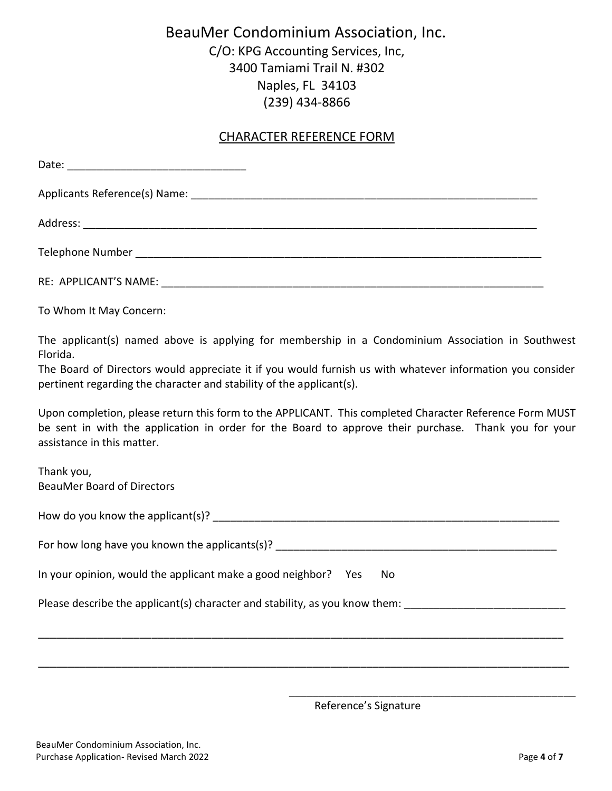## BeauMer Condominium Association, Inc.

C/O: KPG Accounting Services, Inc, 3400 Tamiami Trail N. #302 Naples, FL 34103 (239) 434-8866

#### CHARACTER REFERENCE FORM

To Whom It May Concern:

The applicant(s) named above is applying for membership in a Condominium Association in Southwest Florida.

The Board of Directors would appreciate it if you would furnish us with whatever information you consider pertinent regarding the character and stability of the applicant(s).

Upon completion, please return this form to the APPLICANT. This completed Character Reference Form MUST be sent in with the application in order for the Board to approve their purchase. Thank you for your assistance in this matter.

Thank you, BeauMer Board of Directors

| How do you know the applicant(s)? |  |  |
|-----------------------------------|--|--|
|-----------------------------------|--|--|

| For how long have you known the applicants(s)? |  |
|------------------------------------------------|--|
|------------------------------------------------|--|

\_\_\_\_\_\_\_\_\_\_\_\_\_\_\_\_\_\_\_\_\_\_\_\_\_\_\_\_\_\_\_\_\_\_\_\_\_\_\_\_\_\_\_\_\_\_\_\_\_\_\_\_\_\_\_\_\_\_\_\_\_\_\_\_\_\_\_\_\_\_\_\_\_\_\_\_\_\_\_\_\_\_\_\_\_\_\_\_

\_\_\_\_\_\_\_\_\_\_\_\_\_\_\_\_\_\_\_\_\_\_\_\_\_\_\_\_\_\_\_\_\_\_\_\_\_\_\_\_\_\_\_\_\_\_\_\_\_\_\_\_\_\_\_\_\_\_\_\_\_\_\_\_\_\_\_\_\_\_\_\_\_\_\_\_\_\_\_\_\_\_\_\_\_\_\_\_\_

| In your opinion, would the applicant make a good neighbor? Yes No |  |  |
|-------------------------------------------------------------------|--|--|
|-------------------------------------------------------------------|--|--|

Please describe the applicant(s) character and stability, as you know them: \_\_\_\_

Reference's Signature

\_\_\_\_\_\_\_\_\_\_\_\_\_\_\_\_\_\_\_\_\_\_\_\_\_\_\_\_\_\_\_\_\_\_\_\_\_\_\_\_\_\_\_\_\_\_\_\_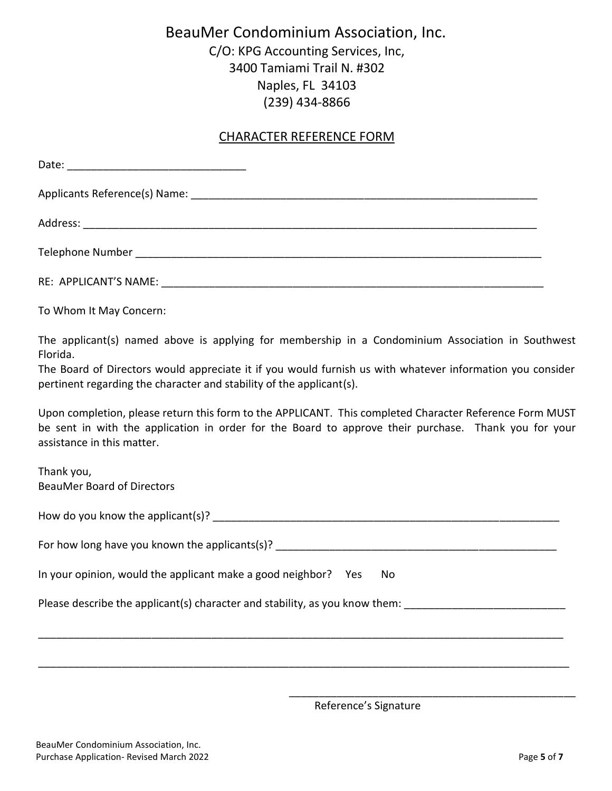## BeauMer Condominium Association, Inc.

C/O: KPG Accounting Services, Inc, 3400 Tamiami Trail N. #302 Naples, FL 34103 (239) 434-8866

#### CHARACTER REFERENCE FORM

To Whom It May Concern:

The applicant(s) named above is applying for membership in a Condominium Association in Southwest Florida.

The Board of Directors would appreciate it if you would furnish us with whatever information you consider pertinent regarding the character and stability of the applicant(s).

Upon completion, please return this form to the APPLICANT. This completed Character Reference Form MUST be sent in with the application in order for the Board to approve their purchase. Thank you for your assistance in this matter.

Thank you, BeauMer Board of Directors

| How do you know the applicant(s)? |
|-----------------------------------|
|-----------------------------------|

| For how long have you known the applicants(s)? |  |
|------------------------------------------------|--|
|------------------------------------------------|--|

\_\_\_\_\_\_\_\_\_\_\_\_\_\_\_\_\_\_\_\_\_\_\_\_\_\_\_\_\_\_\_\_\_\_\_\_\_\_\_\_\_\_\_\_\_\_\_\_\_\_\_\_\_\_\_\_\_\_\_\_\_\_\_\_\_\_\_\_\_\_\_\_\_\_\_\_\_\_\_\_\_\_\_\_\_\_\_\_

\_\_\_\_\_\_\_\_\_\_\_\_\_\_\_\_\_\_\_\_\_\_\_\_\_\_\_\_\_\_\_\_\_\_\_\_\_\_\_\_\_\_\_\_\_\_\_\_\_\_\_\_\_\_\_\_\_\_\_\_\_\_\_\_\_\_\_\_\_\_\_\_\_\_\_\_\_\_\_\_\_\_\_\_\_\_\_\_\_

| In your opinion, would the applicant make a good neighbor? Yes No |  |  |
|-------------------------------------------------------------------|--|--|
|-------------------------------------------------------------------|--|--|

Please describe the applicant(s) character and stability, as you know them: \_\_\_\_

Reference's Signature

\_\_\_\_\_\_\_\_\_\_\_\_\_\_\_\_\_\_\_\_\_\_\_\_\_\_\_\_\_\_\_\_\_\_\_\_\_\_\_\_\_\_\_\_\_\_\_\_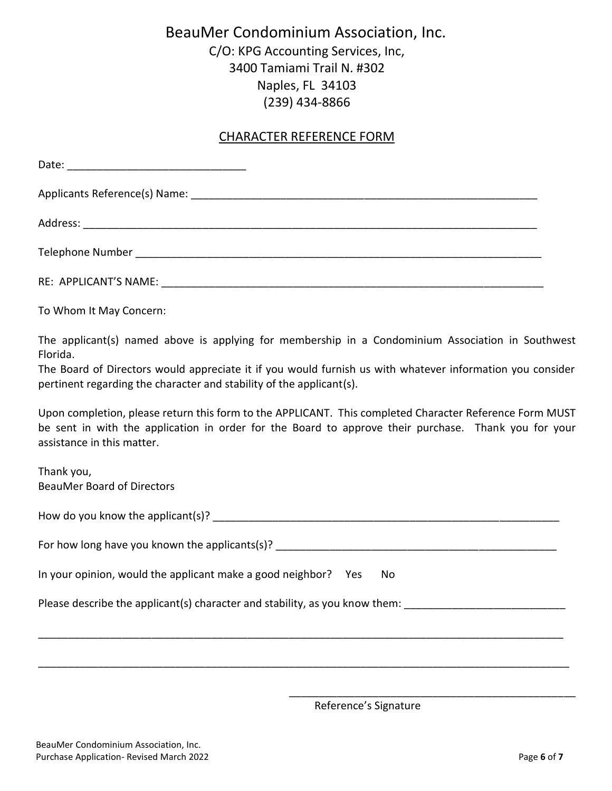## BeauMer Condominium Association, Inc.

C/O: KPG Accounting Services, Inc, 3400 Tamiami Trail N. #302 Naples, FL 34103 (239) 434-8866

#### CHARACTER REFERENCE FORM

To Whom It May Concern:

The applicant(s) named above is applying for membership in a Condominium Association in Southwest Florida.

The Board of Directors would appreciate it if you would furnish us with whatever information you consider pertinent regarding the character and stability of the applicant(s).

Upon completion, please return this form to the APPLICANT. This completed Character Reference Form MUST be sent in with the application in order for the Board to approve their purchase. Thank you for your assistance in this matter.

Thank you, BeauMer Board of Directors

| How do you know the applicant(s)? |
|-----------------------------------|
|-----------------------------------|

| For how long have you known the applicants(s)? |  |
|------------------------------------------------|--|
|------------------------------------------------|--|

\_\_\_\_\_\_\_\_\_\_\_\_\_\_\_\_\_\_\_\_\_\_\_\_\_\_\_\_\_\_\_\_\_\_\_\_\_\_\_\_\_\_\_\_\_\_\_\_\_\_\_\_\_\_\_\_\_\_\_\_\_\_\_\_\_\_\_\_\_\_\_\_\_\_\_\_\_\_\_\_\_\_\_\_\_\_\_\_

\_\_\_\_\_\_\_\_\_\_\_\_\_\_\_\_\_\_\_\_\_\_\_\_\_\_\_\_\_\_\_\_\_\_\_\_\_\_\_\_\_\_\_\_\_\_\_\_\_\_\_\_\_\_\_\_\_\_\_\_\_\_\_\_\_\_\_\_\_\_\_\_\_\_\_\_\_\_\_\_\_\_\_\_\_\_\_\_\_

| In your opinion, would the applicant make a good neighbor? Yes No |  |  |
|-------------------------------------------------------------------|--|--|
|-------------------------------------------------------------------|--|--|

Please describe the applicant(s) character and stability, as you know them: \_\_\_\_

Reference's Signature

\_\_\_\_\_\_\_\_\_\_\_\_\_\_\_\_\_\_\_\_\_\_\_\_\_\_\_\_\_\_\_\_\_\_\_\_\_\_\_\_\_\_\_\_\_\_\_\_